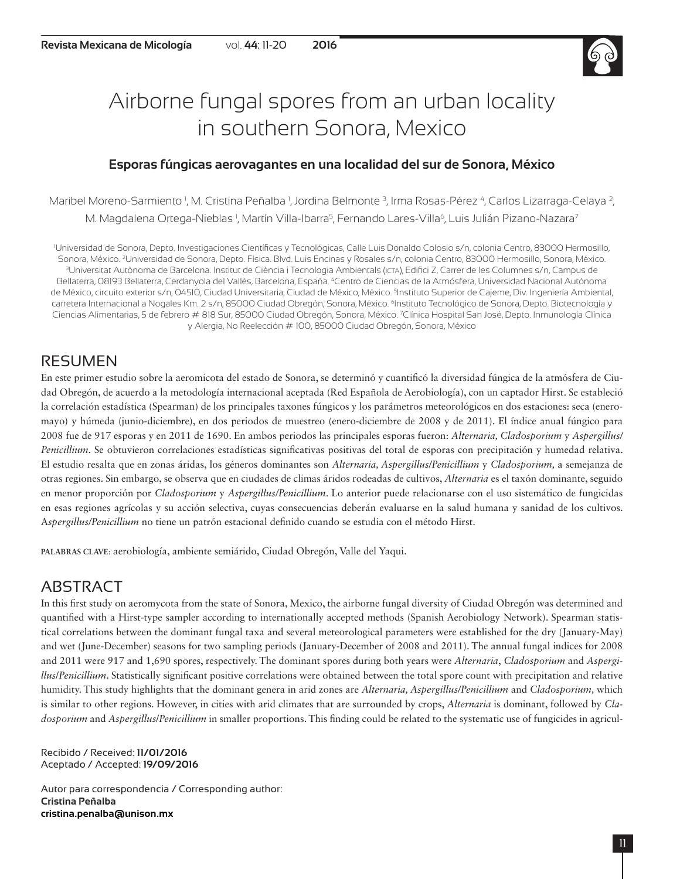

# Airborne fungal spores from an urban locality in southern Sonora, Mexico

### **Esporas fúngicas aerovagantes en una localidad del sur de Sonora, México**

Maribel Moreno-Sarmiento <sup>1</sup>, M. Cristina Peñalba <sup>1</sup>, Jordina Belmonte <sup>3</sup>, Irma Rosas-Pérez <sup>4</sup>, Carlos Lizarraga-Celaya <sup>2</sup>, M. Magdalena Ortega-Nieblas <sup>1</sup>, Martín Villa-Ibarra<sup>5</sup>, Fernando Lares-Villa<sup>6</sup>, Luis Julián Pizano-Nazara<sup>7</sup>

1 Universidad de Sonora, Depto. Investigaciones Científicas y Tecnológicas, Calle Luis Donaldo Colosio s/n, colonia Centro, 83000 Hermosillo, Sonora, México. 2Universidad de Sonora, Depto. Física. Blvd. Luis Encinas y Rosales s/n, colonia Centro, 83000 Hermosillo, Sonora, México. 3 <sup>3</sup>Universitat Autònoma de Barcelona. Institut de Ciència i Tecnologia Ambientals (IcTA), Edifici Z, Carrer de les Columnes s/n, Campus de Bellaterra, 08193 Bellaterra, Cerdanyola del Vallès, Barcelona, España. 4Centro de Ciencias de la Atmósfera, Universidad Nacional Autónoma de México, circuito exterior s/n, 04510, Ciudad Universitaria, Ciudad de México, México. 5 Instituto Superior de Cajeme, Div. Ingeniería Ambiental, carretera Internacional a Nogales Km. 2 s/n, 85000 Ciudad Obregón, Sonora, México. <sup>6</sup>Instituto Tecnológico de Sonora, Depto. Biotecnología y Ciencias Alimentarias, 5 de febrero # 818 Sur, 85000 Ciudad Obregón, Sonora, México. 7 Clínica Hospital San José, Depto. Inmunología Clínica y Alergia, No Reelección # 100, 85000 Ciudad Obregón, Sonora, México

# RESUMEN

En este primer estudio sobre la aeromicota del estado de Sonora, se determinó y cuantificó la diversidad fúngica de la atmósfera de Ciudad Obregón, de acuerdo a la metodología internacional aceptada (Red Española de Aerobiología), con un captador Hirst. Se estableció la correlación estadística (Spearman) de los principales taxones fúngicos y los parámetros meteorológicos en dos estaciones: seca (eneromayo) y húmeda (junio-diciembre), en dos periodos de muestreo (enero-diciembre de 2008 y de 2011). El índice anual fúngico para 2008 fue de 917 esporas y en 2011 de 1690. En ambos periodos las principales esporas fueron: *Alternaria, Cladosporium* y *Aspergillus/ Penicillium.* Se obtuvieron correlaciones estadísticas significativas positivas del total de esporas con precipitación y humedad relativa. El estudio resalta que en zonas áridas, los géneros dominantes son *Alternaria, Aspergillus/Penicillium* y *Cladosporium,* a semejanza de otras regiones. Sin embargo, se observa que en ciudades de climas áridos rodeadas de cultivos, *Alternaria* es el taxón dominante, seguido en menor proporción por *Cladosporium* y *Aspergillus/Penicillium*. Lo anterior puede relacionarse con el uso sistemático de fungicidas en esas regiones agrícolas y su acción selectiva, cuyas consecuencias deberán evaluarse en la salud humana y sanidad de los cultivos. A*spergillus/Penicillium* no tiene un patrón estacional definido cuando se estudia con el método Hirst.

**PALABRAS CLAVE**: aerobiología, ambiente semiárido, Ciudad Obregón, Valle del Yaqui.

## ABSTRACT

In this first study on aeromycota from the state of Sonora, Mexico, the airborne fungal diversity of Ciudad Obregón was determined and quantified with a Hirst-type sampler according to internationally accepted methods (Spanish Aerobiology Network). Spearman statistical correlations between the dominant fungal taxa and several meteorological parameters were established for the dry (January-May) and wet (June-December) seasons for two sampling periods (January-December of 2008 and 2011). The annual fungal indices for 2008 and 2011 were 917 and 1,690 spores, respectively. The dominant spores during both years were *Alternaria*, *Cladosporium* and *Aspergillus*/*Penicillium*. Statistically significant positive correlations were obtained between the total spore count with precipitation and relative humidity. This study highlights that the dominant genera in arid zones are *Alternaria, Aspergillus/Penicillium* and *Cladosporium,* which is similar to other regions. However, in cities with arid climates that are surrounded by crops, *Alternaria* is dominant, followed by *Cladosporium* and *Aspergillus*/*Penicillium* in smaller proportions. This finding could be related to the systematic use of fungicides in agricul-

Recibido / Received: **11/01/2016** Aceptado / Accepted: **19/09/2016**

Autor para correspondencia / Corresponding author: **Cristina Peñalba cristina.penalba@unison.mx**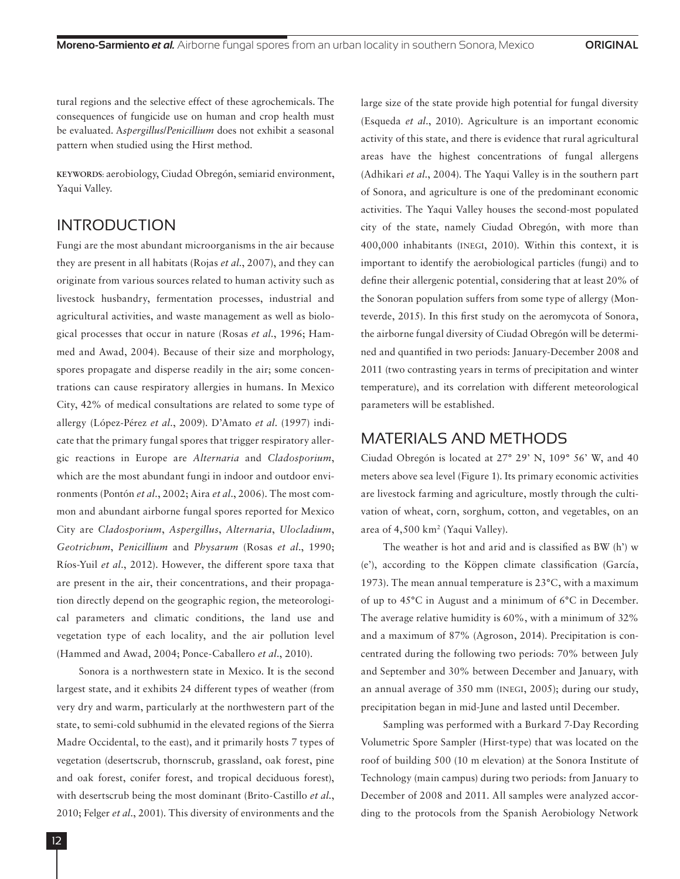tural regions and the selective effect of these agrochemicals. The consequences of fungicide use on human and crop health must be evaluated. A*spergillus*/*Penicillium* does not exhibit a seasonal pattern when studied using the Hirst method.

**KEYWORDS**: aerobiology, Ciudad Obregón, semiarid environment, Yaqui Valley.

## INTRODUCTION

Fungi are the most abundant microorganisms in the air because they are present in all habitats (Rojas *et al*., 2007), and they can originate from various sources related to human activity such as livestock husbandry, fermentation processes, industrial and agricultural activities, and waste management as well as biological processes that occur in nature (Rosas *et al*., 1996; Hammed and Awad, 2004). Because of their size and morphology, spores propagate and disperse readily in the air; some concentrations can cause respiratory allergies in humans. In Mexico City, 42% of medical consultations are related to some type of allergy (López-Pérez *et al*., 2009). D'Amato *et al*. (1997) indicate that the primary fungal spores that trigger respiratory allergic reactions in Europe are *Alternaria* and *Cladosporium*, which are the most abundant fungi in indoor and outdoor environments (Pontón *et al*., 2002; Aira *et al*., 2006). The most common and abundant airborne fungal spores reported for Mexico City are *Cladosporium*, *Aspergillus*, *Alternaria*, *Ulocladium*, *Geotrichum*, *Penicillium* and *Physarum* (Rosas *et al*., 1990; Ríos-Yuil *et al*., 2012). However, the different spore taxa that are present in the air, their concentrations, and their propagation directly depend on the geographic region, the meteorological parameters and climatic conditions, the land use and vegetation type of each locality, and the air pollution level (Hammed and Awad, 2004; Ponce-Caballero *et al*., 2010).

Sonora is a northwestern state in Mexico. It is the second largest state, and it exhibits 24 different types of weather (from very dry and warm, particularly at the northwestern part of the state, to semi-cold subhumid in the elevated regions of the Sierra Madre Occidental, to the east), and it primarily hosts 7 types of vegetation (desertscrub, thornscrub, grassland, oak forest, pine and oak forest, conifer forest, and tropical deciduous forest), with desertscrub being the most dominant (Brito-Castillo *et al*., 2010; Felger *et al*., 2001). This diversity of environments and the large size of the state provide high potential for fungal diversity (Esqueda *et al*., 2010). Agriculture is an important economic activity of this state, and there is evidence that rural agricultural areas have the highest concentrations of fungal allergens (Adhikari *et al*., 2004). The Yaqui Valley is in the southern part of Sonora, and agriculture is one of the predominant economic activities. The Yaqui Valley houses the second-most populated city of the state, namely Ciudad Obregón, with more than 400,000 inhabitants (INEGI, 2010). Within this context, it is important to identify the aerobiological particles (fungi) and to define their allergenic potential, considering that at least 20% of the Sonoran population suffers from some type of allergy (Monteverde, 2015). In this first study on the aeromycota of Sonora, the airborne fungal diversity of Ciudad Obregón will be determined and quantified in two periods: January-December 2008 and 2011 (two contrasting years in terms of precipitation and winter temperature), and its correlation with different meteorological parameters will be established.

## MATERIALS AND METHODS

Ciudad Obregón is located at 27° 29' N, 109° 56' W, and 40 meters above sea level (Figure 1). Its primary economic activities are livestock farming and agriculture, mostly through the cultivation of wheat, corn, sorghum, cotton, and vegetables, on an area of 4,500 km2 (Yaqui Valley).

The weather is hot and arid and is classified as BW (h') w (e'), according to the Köppen climate classification (García, 1973). The mean annual temperature is 23°C, with a maximum of up to 45°C in August and a minimum of 6°C in December. The average relative humidity is 60%, with a minimum of 32% and a maximum of 87% (Agroson, 2014). Precipitation is concentrated during the following two periods: 70% between July and September and 30% between December and January, with an annual average of 350 mm (INEGI, 2005); during our study, precipitation began in mid-June and lasted until December.

Sampling was performed with a Burkard 7-Day Recording Volumetric Spore Sampler (Hirst-type) that was located on the roof of building 500 (10 m elevation) at the Sonora Institute of Technology (main campus) during two periods: from January to December of 2008 and 2011. All samples were analyzed according to the protocols from the Spanish Aerobiology Network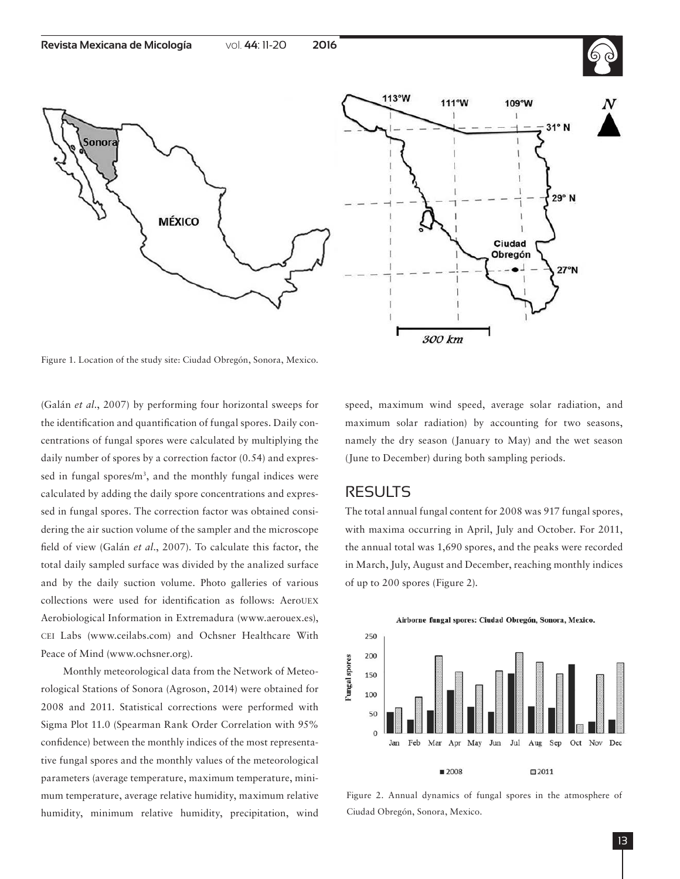



Figure 1. Location of the study site: Ciudad Obregón, Sonora, Mexico.

(Galán *et al*., 2007) by performing four horizontal sweeps for the identification and quantification of fungal spores. Daily concentrations of fungal spores were calculated by multiplying the daily number of spores by a correction factor (0.54) and expressed in fungal spores/ $m<sup>3</sup>$ , and the monthly fungal indices were calculated by adding the daily spore concentrations and expressed in fungal spores. The correction factor was obtained considering the air suction volume of the sampler and the microscope field of view (Galán *et al*., 2007). To calculate this factor, the total daily sampled surface was divided by the analized surface and by the daily suction volume. Photo galleries of various collections were used for identification as follows: AeroUEX Aerobiological Information in Extremadura (www.aerouex.es), CEI Labs (www.ceilabs.com) and Ochsner Healthcare With Peace of Mind (www.ochsner.org).

Monthly meteorological data from the Network of Meteorological Stations of Sonora (Agroson, 2014) were obtained for 2008 and 2011. Statistical corrections were performed with Sigma Plot 11.0 (Spearman Rank Order Correlation with 95% confidence) between the monthly indices of the most representative fungal spores and the monthly values of the meteorological parameters (average temperature, maximum temperature, minimum temperature, average relative humidity, maximum relative humidity, minimum relative humidity, precipitation, wind speed, maximum wind speed, average solar radiation, and maximum solar radiation) by accounting for two seasons, namely the dry season (January to May) and the wet season (June to December) during both sampling periods.

#### RESULTS

The total annual fungal content for 2008 was 917 fungal spores, with maxima occurring in April, July and October. For 2011, the annual total was 1,690 spores, and the peaks were recorded in March, July, August and December, reaching monthly indices of up to 200 spores (Figure 2).



Figure 2. Annual dynamics of fungal spores in the atmosphere of Ciudad Obregón, Sonora, Mexico.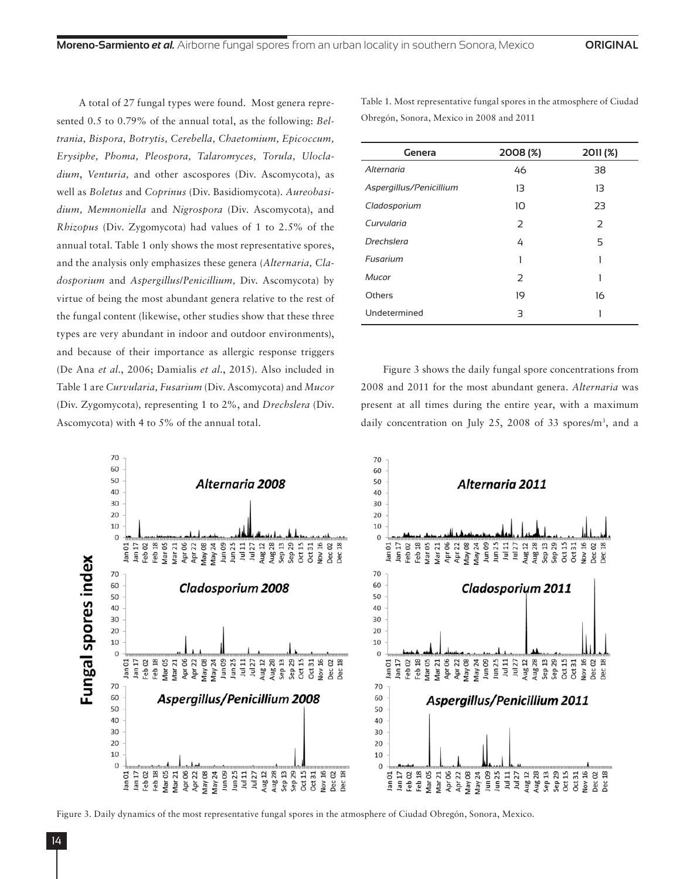A total of 27 fungal types were found. Most genera represented 0.5 to 0.79% of the annual total, as the following: *Beltrania, Bispora, Botrytis, Cerebella, Chaetomium, Epicoccum, Erysiphe, Phoma, Pleospora, Talaromyces, Torula, Ulocladium*, *Venturia,* and other ascospores (Div. Ascomycota), as well as *Boletus* and *Coprinus* (Div. Basidiomycota). *Aureobasidium, Memnoniella* and *Nigrospora* (Div. Ascomycota), and *Rhizopus* (Div. Zygomycota) had values of 1 to 2.5% of the annual total. Table 1 only shows the most representative spores, and the analysis only emphasizes these genera (*Alternaria, Cladosporium* and *Aspergillus*/*Penicillium,* Div. Ascomycota) by virtue of being the most abundant genera relative to the rest of the fungal content (likewise, other studies show that these three types are very abundant in indoor and outdoor environments), and because of their importance as allergic response triggers (De Ana *et al*., 2006; Damialis *et al*., 2015). Also included in Table 1 are *Curvularia, Fusarium* (Div. Ascomycota) and *Mucor* (Div. Zygomycota)*,* representing 1 to 2%, and *Drechslera* (Div. Ascomycota) with 4 to 5% of the annual total.

Table 1. Most representative fungal spores in the atmosphere of Ciudad Obregón, Sonora, Mexico in 2008 and 2011

| Genera                  | 2008 (%)       | 2011 (%) |  |  |
|-------------------------|----------------|----------|--|--|
| Alternaria              | 46             | 38       |  |  |
| Aspergillus/Penicillium | 13             | 13       |  |  |
| Cladosporium            | 10             | 23       |  |  |
| Curvularia              | 2              | 2        |  |  |
| Drechslera              | 4              | 5        |  |  |
| Fusarium                | 1              | 1        |  |  |
| Mucor                   | $\overline{2}$ | 1        |  |  |
| Others                  | 19             | 16       |  |  |
| Undetermined            | З              |          |  |  |

Figure 3 shows the daily fungal spore concentrations from 2008 and 2011 for the most abundant genera. *Alternaria* was present at all times during the entire year, with a maximum daily concentration on July 25, 2008 of 33 spores/m<sup>3</sup>, and a



Figure 3. Daily dynamics of the most representative fungal spores in the atmosphere of Ciudad Obregón, Sonora, Mexico.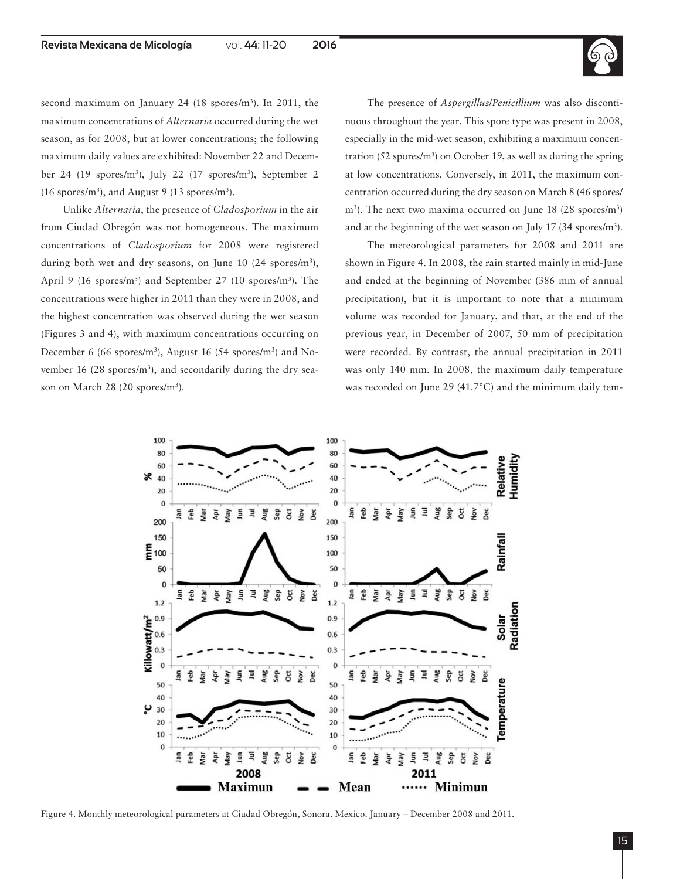

second maximum on January 24 (18 spores/m<sup>3</sup>). In 2011, the maximum concentrations of *Alternaria* occurred during the wet season, as for 2008, but at lower concentrations; the following maximum daily values are exhibited: November 22 and December 24 (19 spores/m3 ), July 22 (17 spores/m3 ), September 2 (16 spores/m<sup>3</sup>), and August 9 (13 spores/m<sup>3</sup>).

Unlike *Alternaria*, the presence of *Cladosporium* in the air from Ciudad Obregón was not homogeneous. The maximum concentrations of *Cladosporium* for 2008 were registered during both wet and dry seasons, on June 10 (24 spores/m<sup>3</sup>), April 9 (16 spores/m<sup>3</sup>) and September 27 (10 spores/m<sup>3</sup>). The concentrations were higher in 2011 than they were in 2008, and the highest concentration was observed during the wet season (Figures 3 and 4), with maximum concentrations occurring on December 6 (66 spores/m<sup>3</sup>), August 16 (54 spores/m<sup>3</sup>) and November 16 (28 spores/m<sup>3</sup>), and secondarily during the dry season on March 28 (20 spores/m<sup>3</sup>).

The presence of *Aspergillus*/*Penicillium* was also discontinuous throughout the year. This spore type was present in 2008, especially in the mid-wet season, exhibiting a maximum concentration (52 spores/ $m^3$ ) on October 19, as well as during the spring at low concentrations. Conversely, in 2011, the maximum concentration occurred during the dry season on March 8 (46 spores/ m<sup>3</sup>). The next two maxima occurred on June 18 (28 spores/m<sup>3</sup>) and at the beginning of the wet season on July 17 (34 spores/ $m<sup>3</sup>$ ).

The meteorological parameters for 2008 and 2011 are shown in Figure 4. In 2008, the rain started mainly in mid-June and ended at the beginning of November (386 mm of annual precipitation), but it is important to note that a minimum volume was recorded for January, and that, at the end of the previous year, in December of 2007, 50 mm of precipitation were recorded. By contrast, the annual precipitation in 2011 was only 140 mm. In 2008, the maximum daily temperature was recorded on June 29 (41.7°C) and the minimum daily tem-



Figure 4. Monthly meteorological parameters at Ciudad Obregón, Sonora. Mexico. January – December 2008 and 2011.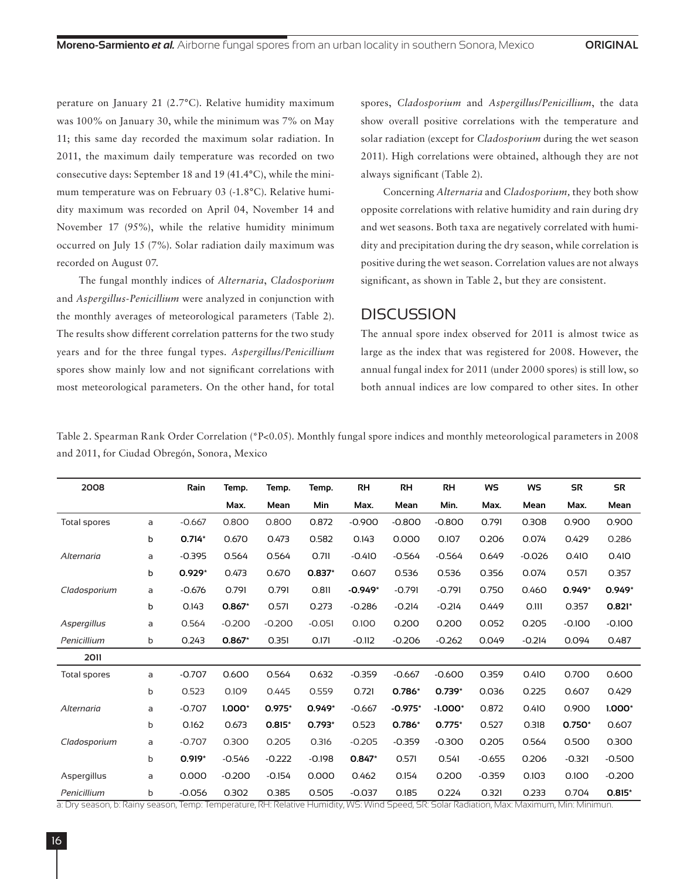perature on January 21 (2.7°C). Relative humidity maximum was 100% on January 30, while the minimum was 7% on May 11; this same day recorded the maximum solar radiation. In 2011, the maximum daily temperature was recorded on two consecutive days: September 18 and 19 (41.4°C), while the minimum temperature was on February 03 (-1.8°C). Relative humidity maximum was recorded on April 04, November 14 and November 17 (95%), while the relative humidity minimum occurred on July 15 (7%). Solar radiation daily maximum was recorded on August 07.

The fungal monthly indices of *Alternaria*, *Cladosporium* and *Aspergillus-Penicillium* were analyzed in conjunction with the monthly averages of meteorological parameters (Table 2). The results show different correlation patterns for the two study years and for the three fungal types. *Aspergillus/Penicillium* spores show mainly low and not significant correlations with most meteorological parameters. On the other hand, for total spores, *Cladosporium* and *Aspergillus/Penicillium*, the data show overall positive correlations with the temperature and solar radiation (except for *Cladosporium* during the wet season 2011). High correlations were obtained, although they are not always significant (Table 2).

Concerning *Alternaria* and *Cladosporium,* they both show opposite correlations with relative humidity and rain during dry and wet seasons. Both taxa are negatively correlated with humidity and precipitation during the dry season, while correlation is positive during the wet season. Correlation values are not always significant, as shown in Table 2, but they are consistent.

#### **DISCUSSION**

The annual spore index observed for 2011 is almost twice as large as the index that was registered for 2008. However, the annual fungal index for 2011 (under 2000 spores) is still low, so both annual indices are low compared to other sites. In other

Table 2. Spearman Rank Order Correlation (\*P<0.05). Monthly fungal spore indices and monthly meteorological parameters in 2008 and 2011, for Ciudad Obregón, Sonora, Mexico

| 2008               |   | Rain     | Temp.    | Temp.    | Temp.    | <b>RH</b> | <b>RH</b> | <b>RH</b> | <b>WS</b> | <b>WS</b> | <b>SR</b> | <b>SR</b> |
|--------------------|---|----------|----------|----------|----------|-----------|-----------|-----------|-----------|-----------|-----------|-----------|
|                    |   |          | Max.     | Mean     | Min      | Max.      | Mean      | Min.      | Max.      | Mean      | Max.      | Mean      |
| Total spores       | a | $-0.667$ | 0.800    | 0.800    | 0.872    | $-0.900$  | $-0.800$  | $-0.800$  | 0.791     | 0.308     | 0.900     | 0.900     |
|                    | ь | $0.714*$ | 0.670    | 0.473    | 0.582    | 0.143     | 0.000     | 0.107     | 0.206     | 0.074     | 0.429     | 0.286     |
| Alternaria         | a | $-0.395$ | 0.564    | 0.564    | 0.711    | $-0.410$  | $-0.564$  | $-0.564$  | 0.649     | $-0.026$  | 0.410     | 0.410     |
|                    | ь | $0.929*$ | 0.473    | 0.670    | $0.837*$ | 0.607     | 0.536     | 0.536     | 0.356     | 0.074     | 0.571     | 0.357     |
| Cladosporium       | a | $-0.676$ | 0.791    | 0.791    | 0.811    | $-0.949*$ | $-0.791$  | $-0.791$  | 0.750     | 0.460     | $0.949*$  | $0.949*$  |
|                    | b | 0.143    | $0.867*$ | 0.571    | 0.273    | $-0.286$  | $-0.214$  | $-0.214$  | 0.449     | O.111     | 0.357     | $0.821*$  |
| <b>Aspergillus</b> | a | 0.564    | $-0.200$ | $-0.200$ | $-0.051$ | 0.100     | 0.200     | 0.200     | 0.052     | 0.205     | $-0.100$  | $-0.100$  |
| Penicillium        | ь | 0.243    | $0.867*$ | 0.351    | 0.171    | $-0.112$  | $-0.206$  | $-0.262$  | 0.049     | $-0.214$  | 0.094     | 0.487     |
| 2011               |   |          |          |          |          |           |           |           |           |           |           |           |
| Total spores       | a | $-0.707$ | 0.600    | 0.564    | 0.632    | $-0.359$  | $-0.667$  | $-0.600$  | 0.359     | 0.410     | 0.700     | 0.600     |
|                    | b | 0.523    | 0.109    | 0.445    | 0.559    | 0.721     | $0.786*$  | $0.739*$  | 0.036     | 0.225     | 0.607     | 0.429     |
| Alternaria         | a | $-0.707$ | 1.000*   | $0.975*$ | $0.949*$ | $-0.667$  | $-0.975*$ | $-1.000*$ | 0.872     | 0.410     | 0.900     | $1.000*$  |
|                    | b | 0.162    | 0.673    | $0.815*$ | $0.793*$ | 0.523     | $0.786*$  | $0.775*$  | 0.527     | 0.318     | $0.750*$  | 0.607     |
| Cladosporium       | a | $-0.707$ | 0.300    | 0.205    | 0.316    | $-0.205$  | $-0.359$  | $-0.300$  | 0.205     | 0.564     | 0.500     | 0.300     |
|                    | Ь | $0.919*$ | $-0.546$ | $-0.222$ | $-0.198$ | $0.847*$  | 0.571     | 0.541     | $-0.655$  | 0.206     | $-0.321$  | $-0.500$  |
| Aspergillus        | a | 0.000    | $-0.200$ | $-0.154$ | 0.000    | 0.462     | 0.154     | 0.200     | $-0.359$  | 0.103     | 0.100     | $-0.200$  |
| Penicillium        | Ь | $-0.056$ | 0.302    | 0.385    | 0.505    | $-0.037$  | 0.185     | 0.224     | 0.321     | 0.233     | 0.704     | $0.815*$  |

a: Dry season, b: Rainy season, Temp: Temperature, RH: Relative Humidity, WS: Wind Speed, SR: Solar Radiation, Max: Maximum, Min: Minimun.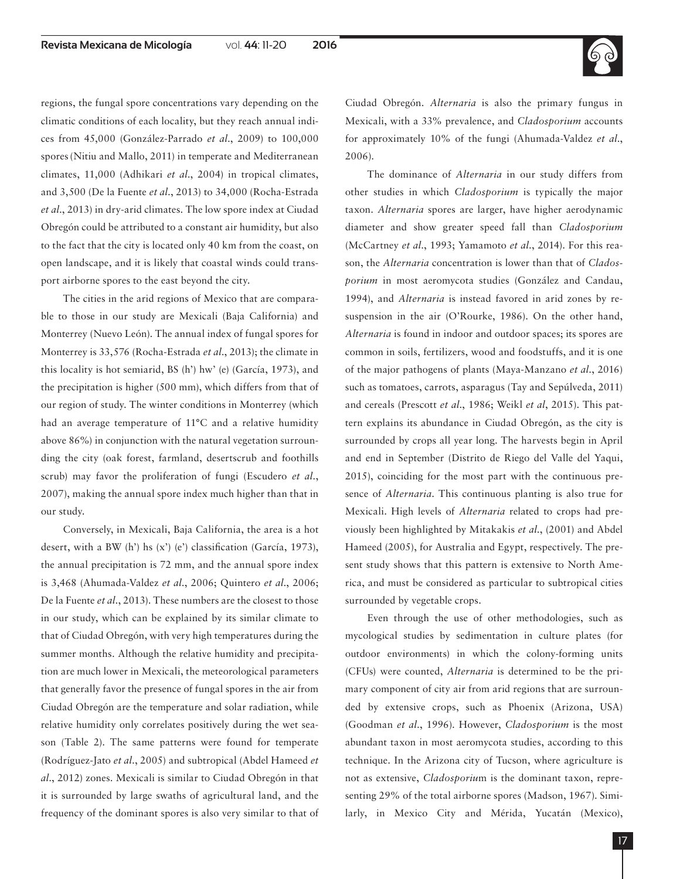regions, the fungal spore concentrations vary depending on the climatic conditions of each locality, but they reach annual indices from 45,000 (González-Parrado *et al*., 2009) to 100,000 spores(Nitiu and Mallo, 2011) in temperate and Mediterranean climates, 11,000 (Adhikari *et al*., 2004) in tropical climates, and 3,500 (De la Fuente *et al*., 2013) to 34,000 (Rocha-Estrada *et al*., 2013) in dry-arid climates. The low spore index at Ciudad Obregón could be attributed to a constant air humidity, but also to the fact that the city is located only 40 km from the coast, on open landscape, and it is likely that coastal winds could transport airborne spores to the east beyond the city.

The cities in the arid regions of Mexico that are comparable to those in our study are Mexicali (Baja California) and Monterrey (Nuevo León). The annual index of fungal spores for Monterrey is 33,576 (Rocha-Estrada *et al*., 2013); the climate in this locality is hot semiarid, BS (h') hw' (e) (García, 1973), and the precipitation is higher (500 mm), which differs from that of our region of study. The winter conditions in Monterrey (which had an average temperature of 11°C and a relative humidity above 86%) in conjunction with the natural vegetation surrounding the city (oak forest, farmland, desertscrub and foothills scrub) may favor the proliferation of fungi (Escudero *et al.*, 2007), making the annual spore index much higher than that in our study.

Conversely, in Mexicali, Baja California, the area is a hot desert, with a BW (h') hs (x') (e') classification (García, 1973), the annual precipitation is 72 mm, and the annual spore index is 3,468 (Ahumada-Valdez *et al*., 2006; Quintero *et al*., 2006; De la Fuente *et al*., 2013). These numbers are the closest to those in our study, which can be explained by its similar climate to that of Ciudad Obregón, with very high temperatures during the summer months. Although the relative humidity and precipitation are much lower in Mexicali, the meteorological parameters that generally favor the presence of fungal spores in the air from Ciudad Obregón are the temperature and solar radiation, while relative humidity only correlates positively during the wet season (Table 2). The same patterns were found for temperate (Rodríguez-Jato *et al*., 2005) and subtropical (Abdel Hameed *et al*., 2012) zones. Mexicali is similar to Ciudad Obregón in that it is surrounded by large swaths of agricultural land, and the frequency of the dominant spores is also very similar to that of

Ciudad Obregón. *Alternaria* is also the primary fungus in Mexicali, with a 33% prevalence, and *Cladosporium* accounts for approximately 10% of the fungi (Ahumada-Valdez *et al*., 2006).

The dominance of *Alternaria* in our study differs from other studies in which *Cladosporium* is typically the major taxon. *Alternaria* spores are larger, have higher aerodynamic diameter and show greater speed fall than *Cladosporium* (McCartney *et al*., 1993; Yamamoto *et al*., 2014). For this reason, the *Alternaria* concentration is lower than that of *Cladosporium* in most aeromycota studies (González and Candau, 1994), and *Alternaria* is instead favored in arid zones by resuspension in the air (O'Rourke, 1986). On the other hand, *Alternaria* is found in indoor and outdoor spaces; its spores are common in soils, fertilizers, wood and foodstuffs, and it is one of the major pathogens of plants (Maya-Manzano *et al*., 2016) such as tomatoes, carrots, asparagus (Tay and Sepúlveda, 2011) and cereals (Prescott *et al*., 1986; Weikl *et al*, 2015). This pattern explains its abundance in Ciudad Obregón, as the city is surrounded by crops all year long. The harvests begin in April and end in September (Distrito de Riego del Valle del Yaqui, 2015), coinciding for the most part with the continuous presence of *Alternaria*. This continuous planting is also true for Mexicali. High levels of *Alternaria* related to crops had previously been highlighted by Mitakakis *et al*., (2001) and Abdel Hameed (2005), for Australia and Egypt, respectively. The present study shows that this pattern is extensive to North America, and must be considered as particular to subtropical cities surrounded by vegetable crops.

Even through the use of other methodologies, such as mycological studies by sedimentation in culture plates (for outdoor environments) in which the colony-forming units (CFUs) were counted, *Alternaria* is determined to be the primary component of city air from arid regions that are surrounded by extensive crops, such as Phoenix (Arizona, USA) (Goodman *et al*., 1996). However, *Cladosporium* is the most abundant taxon in most aeromycota studies, according to this technique. In the Arizona city of Tucson, where agriculture is not as extensive, *Cladosporiu*m is the dominant taxon, representing 29% of the total airborne spores (Madson, 1967). Similarly, in Mexico City and Mérida, Yucatán (Mexico),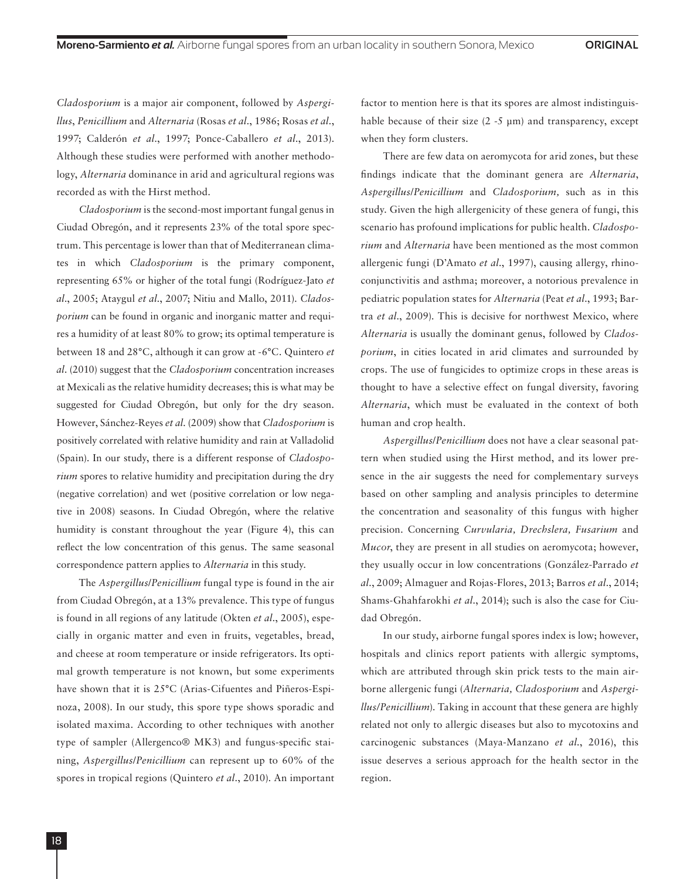*Cladosporium* is a major air component, followed by *Aspergillus*, *Penicillium* and *Alternaria* (Rosas *et al*., 1986; Rosas *et al*., 1997; Calderón *et al*., 1997; Ponce-Caballero *et al*., 2013). Although these studies were performed with another methodology, *Alternaria* dominance in arid and agricultural regions was recorded as with the Hirst method.

*Cladosporium* is the second-most important fungal genus in Ciudad Obregón, and it represents 23% of the total spore spectrum. This percentage is lower than that of Mediterranean climates in which *Cladosporium* is the primary component, representing 65% or higher of the total fungi (Rodríguez-Jato *et al*., 2005; Ataygul *et al*., 2007; Nitiu and Mallo, 2011). *Cladosporium* can be found in organic and inorganic matter and requires a humidity of at least 80% to grow; its optimal temperature is between 18 and 28°C, although it can grow at -6°C. Quintero *et al*. (2010) suggest that the *Cladosporium* concentration increases at Mexicali as the relative humidity decreases; this is what may be suggested for Ciudad Obregón, but only for the dry season. However, Sánchez-Reyes *et al*. (2009) show that *Cladosporium* is positively correlated with relative humidity and rain at Valladolid (Spain). In our study, there is a different response of *Cladosporium* spores to relative humidity and precipitation during the dry (negative correlation) and wet (positive correlation or low negative in 2008) seasons. In Ciudad Obregón, where the relative humidity is constant throughout the year (Figure 4), this can reflect the low concentration of this genus. The same seasonal correspondence pattern applies to *Alternaria* in this study.

The *Aspergillus*/*Penicillium* fungal type is found in the air from Ciudad Obregón, at a 13% prevalence. This type of fungus is found in all regions of any latitude (Okten *et al*., 2005), especially in organic matter and even in fruits, vegetables, bread, and cheese at room temperature or inside refrigerators. Its optimal growth temperature is not known, but some experiments have shown that it is 25°C (Arias-Cifuentes and Piñeros-Espinoza, 2008). In our study, this spore type shows sporadic and isolated maxima. According to other techniques with another type of sampler (Allergenco® MK3) and fungus-specific staining, *Aspergillus*/*Penicillium* can represent up to 60% of the spores in tropical regions (Quintero *et al.*, 2010). An important factor to mention here is that its spores are almost indistinguishable because of their size (2 -5 µm) and transparency, except when they form clusters.

There are few data on aeromycota for arid zones, but these findings indicate that the dominant genera are *Alternaria*, *Aspergillus*/*Penicillium* and *Cladosporium,* such as in this study. Given the high allergenicity of these genera of fungi, this scenario has profound implications for public health. *Cladosporium* and *Alternaria* have been mentioned as the most common allergenic fungi (D'Amato *et al*., 1997), causing allergy, rhinoconjunctivitis and asthma; moreover, a notorious prevalence in pediatric population states for *Alternaria* (Peat *et al*., 1993; Bartra *et al*., 2009). This is decisive for northwest Mexico, where *Alternaria* is usually the dominant genus, followed by *Cladosporium*, in cities located in arid climates and surrounded by crops. The use of fungicides to optimize crops in these areas is thought to have a selective effect on fungal diversity, favoring *Alternaria*, which must be evaluated in the context of both human and crop health.

*Aspergillus*/*Penicillium* does not have a clear seasonal pattern when studied using the Hirst method, and its lower presence in the air suggests the need for complementary surveys based on other sampling and analysis principles to determine the concentration and seasonality of this fungus with higher precision. Concerning *Curvularia, Drechslera, Fusarium* and *Mucor*, they are present in all studies on aeromycota; however, they usually occur in low concentrations (González-Parrado *et al*., 2009; Almaguer and Rojas-Flores, 2013; Barros *et al*., 2014; Shams-Ghahfarokhi *et al*., 2014); such is also the case for Ciudad Obregón.

In our study, airborne fungal spores index is low; however, hospitals and clinics report patients with allergic symptoms, which are attributed through skin prick tests to the main airborne allergenic fungi (*Alternaria, Cladosporium* and *Aspergillus/Penicillium*). Taking in account that these genera are highly related not only to allergic diseases but also to mycotoxins and carcinogenic substances (Maya-Manzano *et al*., 2016), this issue deserves a serious approach for the health sector in the region.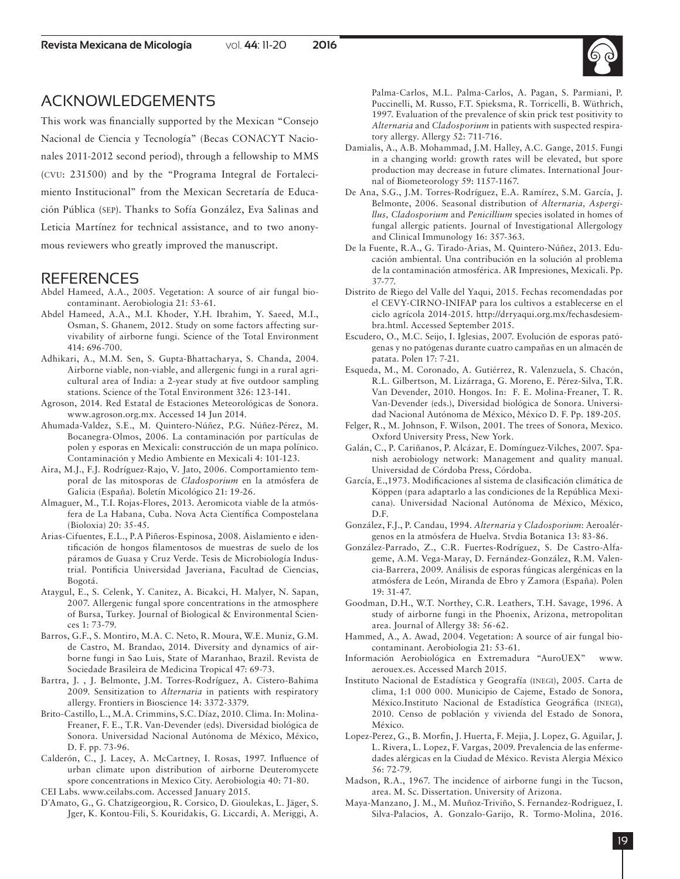### ACKNOWLEDGEMENTS

This work was financially supported by the Mexican "Consejo Nacional de Ciencia y Tecnología" (Becas CONACYT Nacionales 2011-2012 second period), through a fellowship to MMS (CVU: 231500) and by the "Programa Integral de Fortalecimiento Institucional" from the Mexican Secretaría de Educación Pública (SEP). Thanks to Sofía González, Eva Salinas and Leticia Martínez for technical assistance, and to two anonymous reviewers who greatly improved the manuscript.

#### REFERENCES

- Abdel Hameed, A.A., 2005. Vegetation: A source of air fungal biocontaminant. Aerobiologia 21: 53-61.
- Abdel Hameed, A.A., M.I. Khoder, Y.H. Ibrahim, Y. Saeed, M.I., Osman, S. Ghanem, 2012. Study on some factors affecting survivability of airborne fungi. Science of the Total Environment 414: 696-700.
- Adhikari, A., M.M. Sen, S. Gupta-Bhattacharya, S. Chanda, 2004. Airborne viable, non-viable, and allergenic fungi in a rural agricultural area of India: a 2-year study at five outdoor sampling stations. Science of the Total Environment 326: 123-141.
- Agroson, 2014. Red Estatal de Estaciones Meteorológicas de Sonora. www.agroson.org.mx. Accessed 14 Jun 2014.
- Ahumada-Valdez, S.E., M. Quintero-Núñez, P.G. Núñez-Pérez, M. Bocanegra-Olmos, 2006. La contaminación por partículas de polen y esporas en Mexicali: construcción de un mapa polínico. Contaminación y Medio Ambiente en Mexicali 4: 101-123.
- Aira, M.J., F.J. Rodríguez-Rajo, V. Jato, 2006. Comportamiento temporal de las mitosporas de *Cladosporium* en la atmósfera de Galicia (España). Boletín Micológico 21: 19-26.
- Almaguer, M., T.I. Rojas-Flores, 2013. Aeromicota viable de la atmósfera de La Habana, Cuba. Nova Acta Científica Compostelana (Bioloxia) 20: 35-45.
- Arias-Cifuentes, E.L., P.A Piñeros-Espinosa, 2008. Aislamiento e identificación de hongos filamentosos de muestras de suelo de los páramos de Guasa y Cruz Verde. Tesis de Microbiología Industrial. Pontificia Universidad Javeriana, Facultad de Ciencias, Bogotá.
- Ataygul, E., S. Celenk, Y. Canitez, A. Bicakci, H. Malyer, N. Sapan, 2007. Allergenic fungal spore concentrations in the atmosphere of Bursa, Turkey. Journal of Biological & Environmental Sciences 1: 73-79.
- Barros, G.F., S. Montiro, M.A. C. Neto, R. Moura, W.E. Muniz, G.M. de Castro, M. Brandao, 2014. Diversity and dynamics of airborne fungi in Sao Luis, State of Maranhao, Brazil. Revista de Sociedade Brasileira de Medicina Tropical 47: 69-73.
- Bartra, J. , J. Belmonte, J.M. Torres-Rodríguez, A. Cistero-Bahima 2009. Sensitization to *Alternaria* in patients with respiratory allergy. Frontiers in Bioscience 14: 3372-3379.
- Brito-Castillo, L., M.A. Crimmins, S.C. Díaz, 2010. Clima. In: Molina-Freaner, F. E., T.R. Van-Devender (eds). Diversidad biológica de Sonora. Universidad Nacional Autónoma de México, México, D. F. pp. 73-96.
- Calderón, C., J. Lacey, A. McCartney, I. Rosas, 1997. Influence of urban climate upon distribution of airborne Deuteromycete spore concentrations in Mexico City. Aerobiologia 40: 71-80.

CEI Labs. www.ceilabs.com. Accessed January 2015.

D´Amato, G., G. Chatzigeorgiou, R. Corsico, D. Gioulekas, L. Jäger, S. Jger, K. Kontou-Fili, S. Kouridakis, G. Liccardi, A. Meriggi, A.

Palma-Carlos, M.L. Palma-Carlos, A. Pagan, S. Parmiani, P. Puccinelli, M. Russo, F.T. Spieksma, R. Torricelli, B. Wüthrich, 1997. Evaluation of the prevalence of skin prick test positivity to *Alternaria* and *Cladosporium* in patients with suspected respiratory allergy. Allergy 52: 711-716.

- Damialis, A., A.B. Mohammad, J.M. Halley, A.C. Gange, 2015. Fungi in a changing world: growth rates will be elevated, but spore production may decrease in future climates. International Journal of Biometeorology 59: 1157-1167.
- De Ana, S.G., J.M. Torres-Rodríguez, E.A. Ramírez, S.M. García, J. Belmonte, 2006. Seasonal distribution of *Alternaria, Aspergillus, Cladosporium* and *Penicillium* species isolated in homes of fungal allergic patients. Journal of Investigational Allergology and Clinical Immunology 16: 357-363.
- De la Fuente, R.A., G. Tirado-Arias, M. Quintero-Núñez, 2013. Educación ambiental. Una contribución en la solución al problema de la contaminación atmosférica. AR Impresiones, Mexicali. Pp. 37-77.
- Distrito de Riego del Valle del Yaqui, 2015. Fechas recomendadas por el CEVY-CIRNO-INIFAP para los cultivos a establecerse en el ciclo agrícola 2014-2015. http://drryaqui.org.mx/fechasdesiembra.html. Accessed September 2015.
- Escudero, O., M.C. Seijo, I. Iglesias, 2007. Evolución de esporas patógenas y no patógenas durante cuatro campañas en un almacén de patata. Polen 17: 7-21.
- Esqueda, M., M. Coronado, A. Gutiérrez, R. Valenzuela, S. Chacón, R.L. Gilbertson, M. Lizárraga, G. Moreno, E. Pérez-Silva, T.R. Van Devender, 2010. Hongos. In: F. E. Molina-Freaner, T. R. Van-Devender (eds.), Diversidad biológica de Sonora. Universidad Nacional Autónoma de México, México D. F. Pp. 189-205.
- Felger, R., M. Johnson, F. Wilson, 2001. The trees of Sonora, Mexico. Oxford University Press, New York.
- Galán, C., P. Cariñanos, P. Alcázar, E. Domínguez-Vilches, 2007. Spanish aerobiology network: Management and quality manual. Universidad de Córdoba Press, Córdoba.
- García, E.,1973. Modificaciones al sistema de clasificación climática de Köppen (para adaptarlo a las condiciones de la República Mexicana). Universidad Nacional Autónoma de México, México, D.F.
- González, F.J., P. Candau, 1994. *Alternaria* y *Cladosporium*: Aeroalérgenos en la atmósfera de Huelva. Stvdia Botanica 13: 83-86.
- González-Parrado, Z., C.R. Fuertes-Rodríguez, S. De Castro-Alfageme, A.M. Vega-Maray, D. Fernández-González, R.M. Valencia-Barrera, 2009. Análisis de esporas fúngicas alergénicas en la atmósfera de León, Miranda de Ebro y Zamora (España). Polen 19: 31-47.
- Goodman, D.H., W.T. Northey, C.R. Leathers, T.H. Savage, 1996. A study of airborne fungi in the Phoenix, Arizona, metropolitan area. Journal of Allergy 38: 56-62.
- Hammed, A., A. Awad, 2004. Vegetation: A source of air fungal biocontaminant. Aerobiologia 21: 53-61.
- Información Aerobiológica en Extremadura "AuroUEX" www. aerouex.es. Accessed March 2015.
- Instituto Nacional de Estadística y Geografía (INEGI), 2005. Carta de clima, 1:1 000 000. Municipio de Cajeme, Estado de Sonora, México.Instituto Nacional de Estadística Geográfica (INEGI), 2010. Censo de población y vivienda del Estado de Sonora, México.
- Lopez-Perez, G., B. Morfin, J. Huerta, F. Mejia, J. Lopez, G. Aguilar, J. L. Rivera, L. Lopez, F. Vargas, 2009. Prevalencia de las enfermedades alérgicas en la Ciudad de México. Revista Alergia México 56: 72-79.
- Madson, R.A., 1967. The incidence of airborne fungi in the Tucson, area. M. Sc. Dissertation. University of Arizona.
- Maya-Manzano, J. M., M. Muñoz-Triviño, S. Fernandez-Rodriguez, I. Silva-Palacios, A. Gonzalo-Garijo, R. Tormo-Molina, 2016.